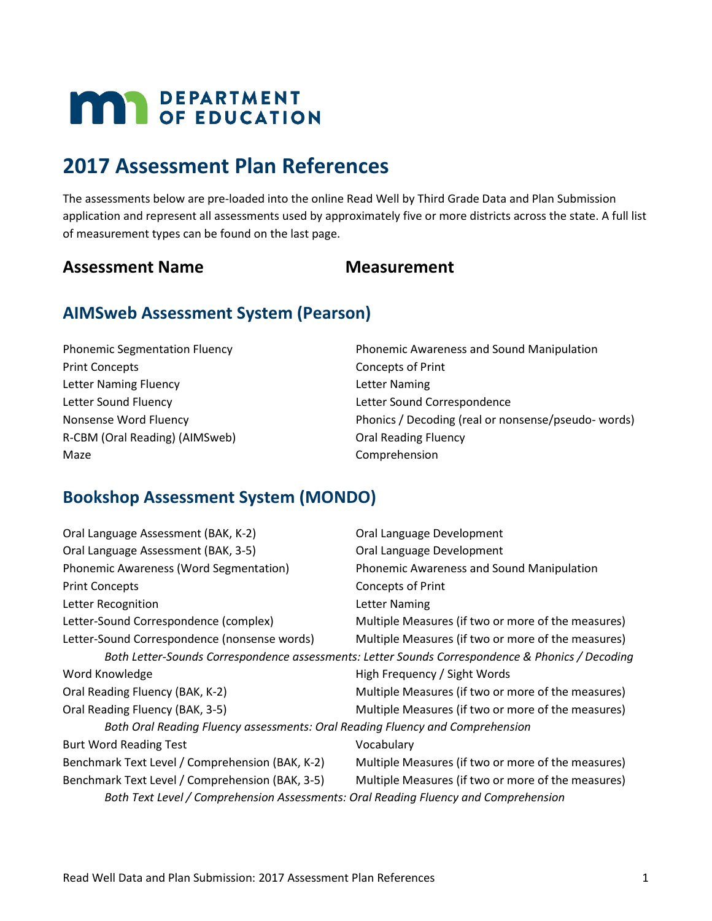# **MAY DEPARTMENT**

# **2017 Assessment Plan References**

The assessments below are pre-loaded into the online Read Well by Third Grade Data and Plan Submission application and represent all assessments used by approximately five or more districts across the state. A full list of measurement types can be found on the last page.

### Assessment Name **Measurement**

# **AIMSweb Assessment System (Pearson)**

| <b>Phonemic Segmentation Fluency</b> | Phonemic Awareness and Sound Manipulation          |
|--------------------------------------|----------------------------------------------------|
| <b>Print Concepts</b>                | Concepts of Print                                  |
| Letter Naming Fluency                | Letter Naming                                      |
| Letter Sound Fluency                 | Letter Sound Correspondence                        |
| Nonsense Word Fluency                | Phonics / Decoding (real or nonsense/pseudo-words) |
| R-CBM (Oral Reading) (AIMSweb)       | <b>Oral Reading Fluency</b>                        |
| Maze                                 | Comprehension                                      |

# **Bookshop Assessment System (MONDO)**

| Oral Language Assessment (BAK, K-2)                                                 | Oral Language Development                                                                        |
|-------------------------------------------------------------------------------------|--------------------------------------------------------------------------------------------------|
| Oral Language Assessment (BAK, 3-5)                                                 | Oral Language Development                                                                        |
| Phonemic Awareness (Word Segmentation)                                              | Phonemic Awareness and Sound Manipulation                                                        |
| <b>Print Concepts</b>                                                               | <b>Concepts of Print</b>                                                                         |
| Letter Recognition                                                                  | <b>Letter Naming</b>                                                                             |
| Letter-Sound Correspondence (complex)                                               | Multiple Measures (if two or more of the measures)                                               |
| Letter-Sound Correspondence (nonsense words)                                        | Multiple Measures (if two or more of the measures)                                               |
|                                                                                     | Both Letter-Sounds Correspondence assessments: Letter Sounds Correspondence & Phonics / Decoding |
| Word Knowledge                                                                      | High Frequency / Sight Words                                                                     |
| Oral Reading Fluency (BAK, K-2)                                                     | Multiple Measures (if two or more of the measures)                                               |
| Oral Reading Fluency (BAK, 3-5)                                                     | Multiple Measures (if two or more of the measures)                                               |
| Both Oral Reading Fluency assessments: Oral Reading Fluency and Comprehension       |                                                                                                  |
| <b>Burt Word Reading Test</b>                                                       | Vocabulary                                                                                       |
| Benchmark Text Level / Comprehension (BAK, K-2)                                     | Multiple Measures (if two or more of the measures)                                               |
| Benchmark Text Level / Comprehension (BAK, 3-5)                                     | Multiple Measures (if two or more of the measures)                                               |
| Both Text Level / Comprehension Assessments: Oral Reading Fluency and Comprehension |                                                                                                  |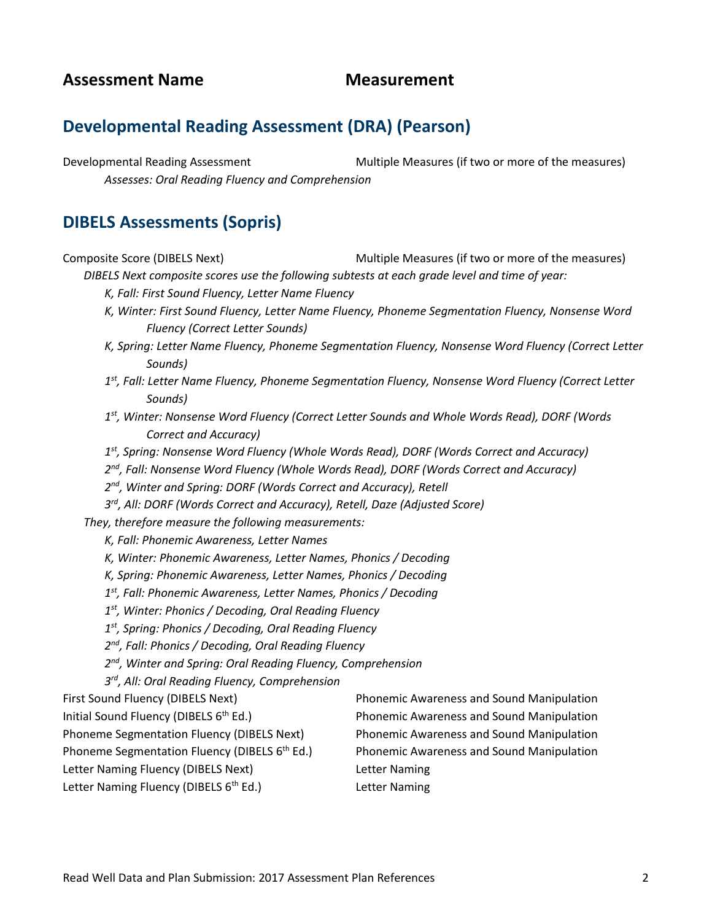# **Developmental Reading Assessment (DRA) (Pearson)**

Developmental Reading Assessment Multiple Measures (if two or more of the measures) *Assesses: Oral Reading Fluency and Comprehension*

### **DIBELS Assessments (Sopris)**

Composite Score (DIBELS Next) Multiple Measures (if two or more of the measures)

*DIBELS Next composite scores use the following subtests at each grade level and time of year:*

- *K, Fall: First Sound Fluency, Letter Name Fluency*
- *K, Winter: First Sound Fluency, Letter Name Fluency, Phoneme Segmentation Fluency, Nonsense Word Fluency (Correct Letter Sounds)*
- *K, Spring: Letter Name Fluency, Phoneme Segmentation Fluency, Nonsense Word Fluency (Correct Letter Sounds)*
- *1st, Fall: Letter Name Fluency, Phoneme Segmentation Fluency, Nonsense Word Fluency (Correct Letter Sounds)*
- *1st, Winter: Nonsense Word Fluency (Correct Letter Sounds and Whole Words Read), DORF (Words Correct and Accuracy)*
- *1st, Spring: Nonsense Word Fluency (Whole Words Read), DORF (Words Correct and Accuracy)*
- *2nd, Fall: Nonsense Word Fluency (Whole Words Read), DORF (Words Correct and Accuracy)*
- *2nd, Winter and Spring: DORF (Words Correct and Accuracy), Retell*
- *3rd, All: DORF (Words Correct and Accuracy), Retell, Daze (Adjusted Score)*

*They, therefore measure the following measurements:*

- *K, Fall: Phonemic Awareness, Letter Names*
- *K, Winter: Phonemic Awareness, Letter Names, Phonics / Decoding*
- *K, Spring: Phonemic Awareness, Letter Names, Phonics / Decoding*
- *1st, Fall: Phonemic Awareness, Letter Names, Phonics / Decoding*
- *1st, Winter: Phonics / Decoding, Oral Reading Fluency*
- *1st, Spring: Phonics / Decoding, Oral Reading Fluency*
- *2nd, Fall: Phonics / Decoding, Oral Reading Fluency*
- *2nd, Winter and Spring: Oral Reading Fluency, Comprehension*
- *3rd, All: Oral Reading Fluency, Comprehension*

- 
- 
- Letter Naming Fluency (DIBELS Next) Letter Naming
- Letter Naming Fluency (DIBELS 6<sup>th</sup> Ed.) Letter Naming

First Sound Fluency (DIBELS Next) Phonemic Awareness and Sound Manipulation Initial Sound Fluency (DIBELS 6<sup>th</sup> Ed.) Phonemic Awareness and Sound Manipulation Phoneme Segmentation Fluency (DIBELS Next) Phonemic Awareness and Sound Manipulation Phoneme Segmentation Fluency (DIBELS  $6<sup>th</sup> Ed$ .) Phonemic Awareness and Sound Manipulation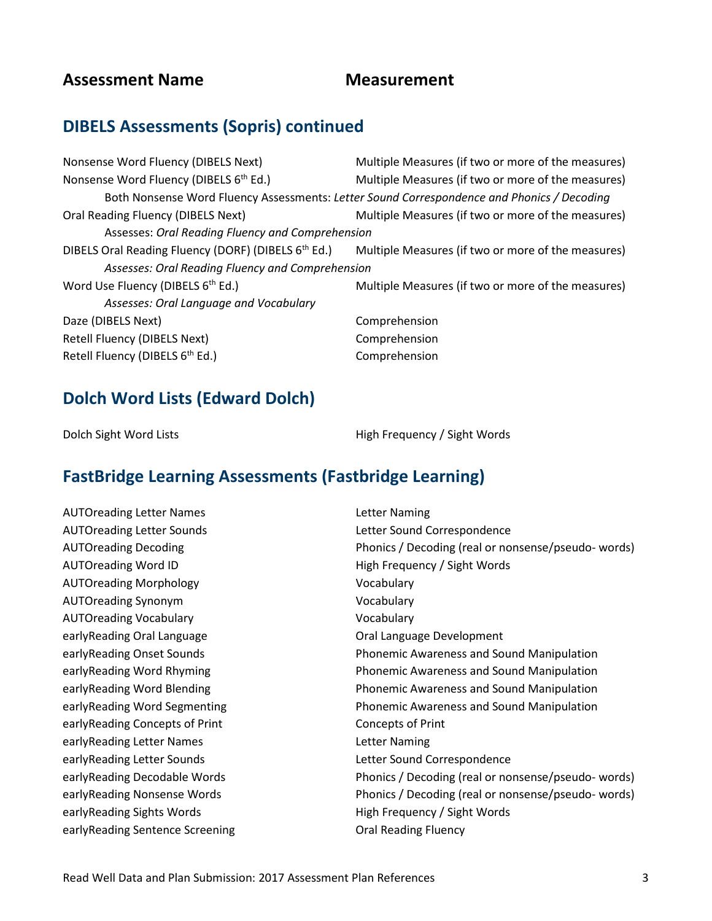# **DIBELS Assessments (Sopris) continued**

| Nonsense Word Fluency (DIBELS Next)                             | Multiple Measures (if two or more of the measures)                                         |
|-----------------------------------------------------------------|--------------------------------------------------------------------------------------------|
| Nonsense Word Fluency (DIBELS 6 <sup>th</sup> Ed.)              | Multiple Measures (if two or more of the measures)                                         |
|                                                                 | Both Nonsense Word Fluency Assessments: Letter Sound Correspondence and Phonics / Decoding |
| Oral Reading Fluency (DIBELS Next)                              | Multiple Measures (if two or more of the measures)                                         |
| Assesses: Oral Reading Fluency and Comprehension                |                                                                                            |
| DIBELS Oral Reading Fluency (DORF) (DIBELS 6 <sup>th</sup> Ed.) | Multiple Measures (if two or more of the measures)                                         |
| Assesses: Oral Reading Fluency and Comprehension                |                                                                                            |
| Word Use Fluency (DIBELS 6 <sup>th</sup> Ed.)                   | Multiple Measures (if two or more of the measures)                                         |
| Assesses: Oral Language and Vocabulary                          |                                                                                            |
| Daze (DIBELS Next)                                              | Comprehension                                                                              |
| Retell Fluency (DIBELS Next)                                    | Comprehension                                                                              |
| Retell Fluency (DIBELS 6 <sup>th</sup> Ed.)                     | Comprehension                                                                              |
|                                                                 |                                                                                            |

# **Dolch Word Lists (Edward Dolch)**

Dolch Sight Word Lists **High Frequency / Sight Words** 

# **FastBridge Learning Assessments (Fastbridge Learning)**

| <b>AUTOreading Letter Names</b>  | <b>Letter Naming</b>                                |
|----------------------------------|-----------------------------------------------------|
| <b>AUTOreading Letter Sounds</b> | Letter Sound Correspondence                         |
| <b>AUTOreading Decoding</b>      | Phonics / Decoding (real or nonsense/pseudo-words)  |
| <b>AUTOreading Word ID</b>       | High Frequency / Sight Words                        |
| <b>AUTOreading Morphology</b>    | Vocabulary                                          |
| <b>AUTOreading Synonym</b>       | Vocabulary                                          |
| <b>AUTOreading Vocabulary</b>    | Vocabulary                                          |
| early Reading Oral Language      | Oral Language Development                           |
| earlyReading Onset Sounds        | Phonemic Awareness and Sound Manipulation           |
| earlyReading Word Rhyming        | Phonemic Awareness and Sound Manipulation           |
| earlyReading Word Blending       | Phonemic Awareness and Sound Manipulation           |
| early Reading Word Segmenting    | Phonemic Awareness and Sound Manipulation           |
| earlyReading Concepts of Print   | Concepts of Print                                   |
| earlyReading Letter Names        | Letter Naming                                       |
| early Reading Letter Sounds      | Letter Sound Correspondence                         |
| earlyReading Decodable Words     | Phonics / Decoding (real or nonsense/pseudo- words) |
| earlyReading Nonsense Words      | Phonics / Decoding (real or nonsense/pseudo-words)  |
| earlyReading Sights Words        | High Frequency / Sight Words                        |
| earlyReading Sentence Screening  | <b>Oral Reading Fluency</b>                         |
|                                  |                                                     |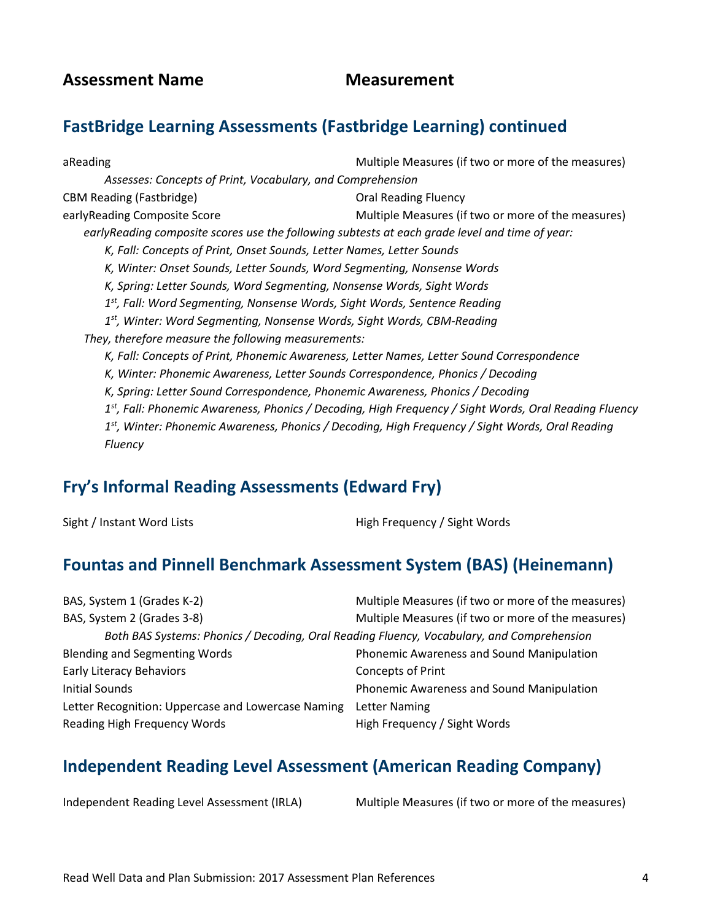# **FastBridge Learning Assessments (Fastbridge Learning) continued**

aReading and a measures (if two or more of the measures) area and  $M$  Multiple Measures (if two or more of the measures) *Assesses: Concepts of Print, Vocabulary, and Comprehension* CBM Reading (Fastbridge) CBM Reading Fluency earlyReading Composite Score The Multiple Measures (if two or more of the measures) *earlyReading composite scores use the following subtests at each grade level and time of year: K, Fall: Concepts of Print, Onset Sounds, Letter Names, Letter Sounds K, Winter: Onset Sounds, Letter Sounds, Word Segmenting, Nonsense Words K, Spring: Letter Sounds, Word Segmenting, Nonsense Words, Sight Words 1st, Fall: Word Segmenting, Nonsense Words, Sight Words, Sentence Reading 1st, Winter: Word Segmenting, Nonsense Words, Sight Words, CBM-Reading They, therefore measure the following measurements: K, Fall: Concepts of Print, Phonemic Awareness, Letter Names, Letter Sound Correspondence K, Winter: Phonemic Awareness, Letter Sounds Correspondence, Phonics / Decoding K, Spring: Letter Sound Correspondence, Phonemic Awareness, Phonics / Decoding 1st, Fall: Phonemic Awareness, Phonics / Decoding, High Frequency / Sight Words, Oral Reading Fluency 1st, Winter: Phonemic Awareness, Phonics / Decoding, High Frequency / Sight Words, Oral Reading Fluency*

#### **Fry's Informal Reading Assessments (Edward Fry)**

Sight / Instant Word Lists **High Frequency / Sight Words** 

# **Fountas and Pinnell Benchmark Assessment System (BAS) (Heinemann)**

| BAS, System 1 (Grades K-2)                                                                | Multiple Measures (if two or more of the measures) |
|-------------------------------------------------------------------------------------------|----------------------------------------------------|
| BAS, System 2 (Grades 3-8)                                                                | Multiple Measures (if two or more of the measures) |
| Both BAS Systems: Phonics / Decoding, Oral Reading Fluency, Vocabulary, and Comprehension |                                                    |
| <b>Blending and Segmenting Words</b>                                                      | Phonemic Awareness and Sound Manipulation          |
| <b>Early Literacy Behaviors</b>                                                           | <b>Concepts of Print</b>                           |
| Initial Sounds                                                                            | Phonemic Awareness and Sound Manipulation          |
| Letter Recognition: Uppercase and Lowercase Naming                                        | Letter Naming                                      |
| Reading High Frequency Words                                                              | High Frequency / Sight Words                       |

# **Independent Reading Level Assessment (American Reading Company)**

Independent Reading Level Assessment (IRLA) Multiple Measures (if two or more of the measures)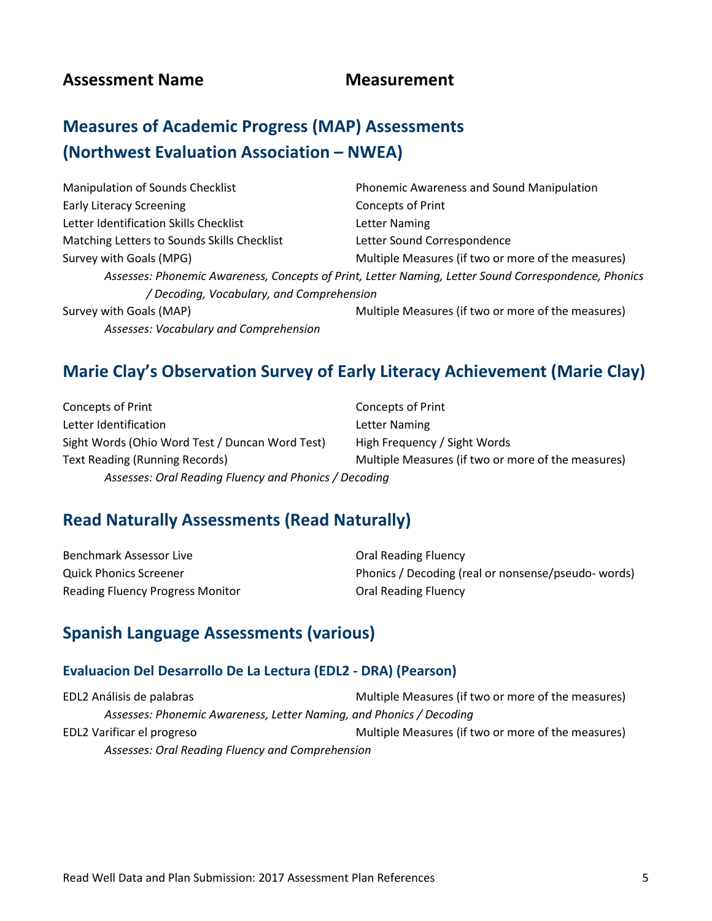# **Measures of Academic Progress (MAP) Assessments (Northwest Evaluation Association – NWEA)**

| Manipulation of Sounds Checklist            | Phonemic Awareness and Sound Manipulation                                                            |
|---------------------------------------------|------------------------------------------------------------------------------------------------------|
| <b>Early Literacy Screening</b>             | <b>Concepts of Print</b>                                                                             |
| Letter Identification Skills Checklist      | <b>Letter Naming</b>                                                                                 |
| Matching Letters to Sounds Skills Checklist | Letter Sound Correspondence                                                                          |
| Survey with Goals (MPG)                     | Multiple Measures (if two or more of the measures)                                                   |
|                                             | Assesses: Phonemic Awareness, Concepts of Print, Letter Naming, Letter Sound Correspondence, Phonics |
| / Decoding, Vocabulary, and Comprehension   |                                                                                                      |
| Survey with Goals (MAP)                     | Multiple Measures (if two or more of the measures)                                                   |
| Assesses: Vocabulary and Comprehension      |                                                                                                      |

# **Marie Clay's Observation Survey of Early Literacy Achievement (Marie Clay)**

Concepts of Print Concepts of Print Letter Identification Letter Naming Sight Words (Ohio Word Test / Duncan Word Test) High Frequency / Sight Words Text Reading (Running Records) Multiple Measures (if two or more of the measures) *Assesses: Oral Reading Fluency and Phonics / Decoding*

#### **Read Naturally Assessments (Read Naturally)**

| Benchmark Assessor Live                 | <b>Oral Reading Fluency</b>                        |
|-----------------------------------------|----------------------------------------------------|
| <b>Quick Phonics Screener</b>           | Phonics / Decoding (real or nonsense/pseudo-words) |
| <b>Reading Fluency Progress Monitor</b> | <b>Oral Reading Fluency</b>                        |

### **Spanish Language Assessments (various)**

#### **Evaluacion Del Desarrollo De La Lectura (EDL2 - DRA) (Pearson)**

EDL2 Análisis de palabras entre a mortuus est de manufacture Multiple Measures (if two or more of the measures) *Assesses: Phonemic Awareness, Letter Naming, and Phonics / Decoding* EDL2 Varificar el progreso **Multiple Measures** (if two or more of the measures) *Assesses: Oral Reading Fluency and Comprehension*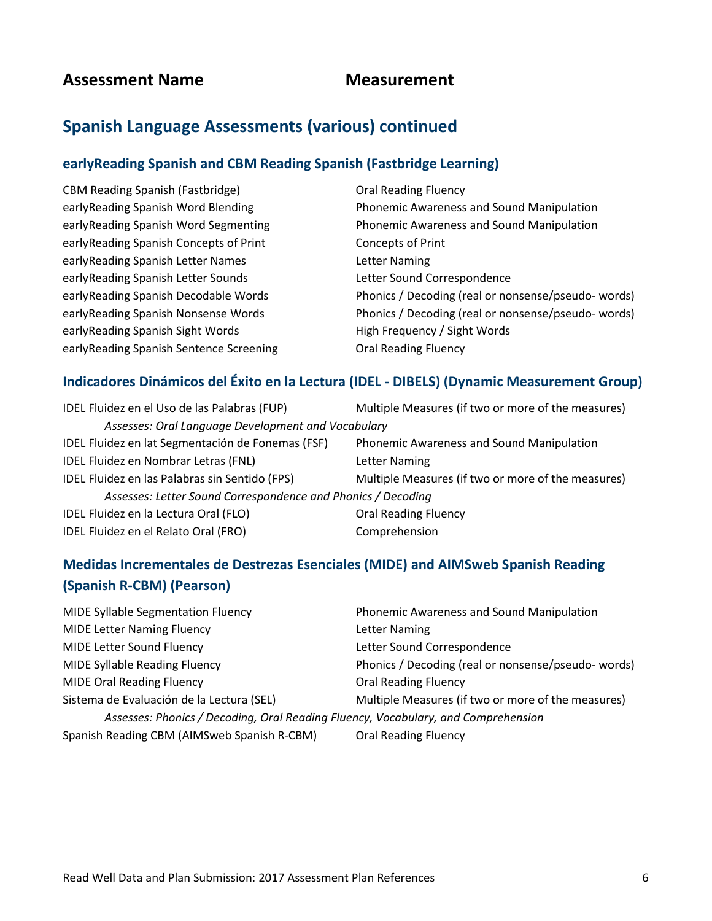# **Spanish Language Assessments (various) continued**

#### **earlyReading Spanish and CBM Reading Spanish (Fastbridge Learning)**

| <b>CBM Reading Spanish (Fastbridge)</b> | <b>Oral Reading Fluency</b>                        |
|-----------------------------------------|----------------------------------------------------|
| earlyReading Spanish Word Blending      | Phonemic Awareness and Sound Manipulation          |
| early Reading Spanish Word Segmenting   | Phonemic Awareness and Sound Manipulation          |
| early Reading Spanish Concepts of Print | Concepts of Print                                  |
| earlyReading Spanish Letter Names       | Letter Naming                                      |
| earlyReading Spanish Letter Sounds      | Letter Sound Correspondence                        |
| earlyReading Spanish Decodable Words    | Phonics / Decoding (real or nonsense/pseudo-words) |
| early Reading Spanish Nonsense Words    | Phonics / Decoding (real or nonsense/pseudo-words) |
| early Reading Spanish Sight Words       | High Frequency / Sight Words                       |
| earlyReading Spanish Sentence Screening | <b>Oral Reading Fluency</b>                        |

#### **Indicadores Dinámicos del Éxito en la Lectura (IDEL - DIBELS) (Dynamic Measurement Group)**

| IDEL Fluidez en el Uso de las Palabras (FUP)                 | Multiple Measures (if two or more of the measures) |
|--------------------------------------------------------------|----------------------------------------------------|
| Assesses: Oral Language Development and Vocabulary           |                                                    |
| IDEL Fluidez en lat Segmentación de Fonemas (FSF)            | Phonemic Awareness and Sound Manipulation          |
| IDEL Fluidez en Nombrar Letras (FNL)                         | Letter Naming                                      |
| IDEL Fluidez en las Palabras sin Sentido (FPS)               | Multiple Measures (if two or more of the measures) |
| Assesses: Letter Sound Correspondence and Phonics / Decoding |                                                    |
| IDEL Fluidez en la Lectura Oral (FLO)                        | <b>Oral Reading Fluency</b>                        |
| IDEL Fluidez en el Relato Oral (FRO)                         | Comprehension                                      |

# **Medidas Incrementales de Destrezas Esenciales (MIDE) and AIMSweb Spanish Reading (Spanish R-CBM) (Pearson)**

| <b>MIDE Syllable Segmentation Fluency</b>                                         | Phonemic Awareness and Sound Manipulation          |
|-----------------------------------------------------------------------------------|----------------------------------------------------|
| <b>MIDE Letter Naming Fluency</b>                                                 | Letter Naming                                      |
| <b>MIDE Letter Sound Fluency</b>                                                  | Letter Sound Correspondence                        |
| MIDE Syllable Reading Fluency                                                     | Phonics / Decoding (real or nonsense/pseudo-words) |
| <b>MIDE Oral Reading Fluency</b>                                                  | <b>Oral Reading Fluency</b>                        |
| Sistema de Evaluación de la Lectura (SEL)                                         | Multiple Measures (if two or more of the measures) |
| Assesses: Phonics / Decoding, Oral Reading Fluency, Vocabulary, and Comprehension |                                                    |
| Spanish Reading CBM (AIMSweb Spanish R-CBM)                                       | <b>Oral Reading Fluency</b>                        |